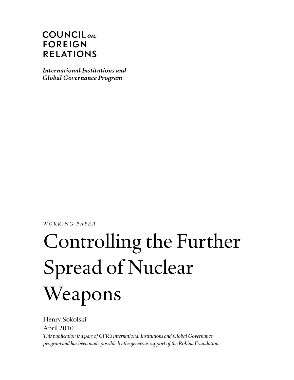# $COUNTLL_{on}$ **FOREIGN RELATIONS**

International Institutions and **Global Governance Program** 

*WORKING PAPER* 

# Controlling the Further Spread of Nuclear Weapons

Henry Sokolski April 2010 *This publication is a part of CFR's International Institutions and Global Governance program and has been made possible by the generous support of the Robina Foundation.*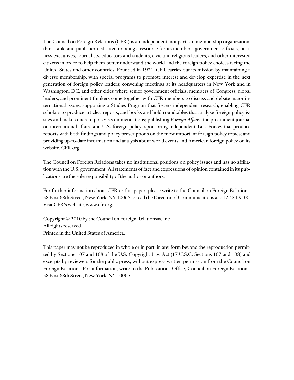The Council on Foreign Relations (CFR ) is an independent, nonpartisan membership organization, think tank, and publisher dedicated to being a resource for its members, government officials, business executives, journalists, educators and students, civic and religious leaders, and other interested citizens in order to help them better understand the world and the foreign policy choices facing the United States and other countries. Founded in 1921, CFR carries out its mission by maintaining a diverse membership, with special programs to promote interest and develop expertise in the next generation of foreign policy leaders; convening meetings at its headquarters in New York and in Washington, DC, and other cities where senior government officials, members of Congress, global leaders, and prominent thinkers come together with CFR members to discuss and debate major international issues; supporting a Studies Program that fosters independent research, enabling CFR scholars to produce articles, reports, and books and hold roundtables that analyze foreign policy issues and make concrete policy recommendations; publishing *Foreign Affairs*, the preeminent journal on international affairs and U.S. foreign policy; sponsoring Independent Task Forces that produce reports with both findings and policy prescriptions on the most important foreign policy topics; and providing up-to-date information and analysis about world events and American foreign policy on its website, CFR.org.

The Council on Foreign Relations takes no institutional positions on policy issues and has no affiliation with the U.S. government. All statements of fact and expressions of opinion contained in its publications are the sole responsibility of the author or authors.

For further information about CFR or this paper, please write to the Council on Foreign Relations, 58 East 68th Street, New York, NY 10065, or call the Director of Communications at 212.434.9400. Visit CFR's website, www.cfr.org.

Copyright © 2010 by the Council on Foreign Relations®, Inc. All rights reserved. Printed in the United States of America.

This paper may not be reproduced in whole or in part, in any form beyond the reproduction permitted by Sections 107 and 108 of the U.S. Copyright Law Act (17 U.S.C. Sections 107 and 108) and excerpts by reviewers for the public press, without express written permission from the Council on Foreign Relations. For information, write to the Publications Office, Council on Foreign Relations, 58 East 68th Street, New York, NY 10065.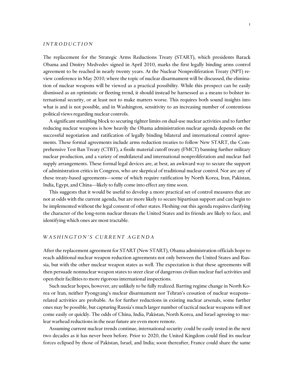#### *INTRODUCTION*

The replacement for the Strategic Arms Reductions Treaty (START), which presidents Barack Obama and Dmitry Medvedev signed in April 2010, marks the first legally binding arms control agreement to be reached in nearly twenty years. At the Nuclear Nonproliferation Treaty (NPT) review conference in May 2010, where the topic of nuclear disarmament will be discussed, the elimination of nuclear weapons will be viewed as a practical possibility. While this prospect can be easily dismissed as an optimistic or fleeting trend, it should instead be harnessed as a means to bolster international security, or at least not to make matters worse. This requires both sound insights into what is and is not possible, and in Washington, sensitivity to an increasing number of contentious political views regarding nuclear controls.

A significant stumbling block to securing tighter limits on dual-use nuclear activities and to further reducing nuclear weapons is how heavily the Obama administration nuclear agenda depends on the successful negotiation and ratification of legally binding bilateral and international control agreements. These formal agreements include arms reduction treaties to follow New START, the Comprehensive Test Ban Treaty (CTBT), a fissile material cutoff treaty (FMCT) banning further military nuclear production, and a variety of multilateral and international nonproliferation and nuclear fuel supply arrangements. These formal legal devices are, at best, an awkward way to secure the support of administration critics in Congress, who are skeptical of traditional nuclear control. Nor are any of these treaty-based agreements—some of which require ratification by North Korea, Iran, Pakistan, India, Egypt, and China—likely to fully come into effect any time soon.

This suggests that it would be useful to develop a more practical set of control measures that are not at odds with the current agenda, but are more likely to secure bipartisan support and can begin to be implemented without the legal consent of other states. Fleshing out this agenda requires clarifying the character of the long-term nuclear threats the United States and its friends are likely to face, and identifying which ones are most tractable.

#### *WASHINGTON'S CURRENT AGENDA*

After the replacement agreement for START (New START), Obama administration officials hope to reach additional nuclear weapon reduction agreements not only between the United States and Russia, but with the other nuclear weapon states as well. The expectation is that these agreements will then persuade nonnuclear weapon states to steer clear of dangerous civilian nuclear fuel activities and open their facilities to more rigorous international inspections.

Such nuclear hopes, however, are unlikely to be fully realized. Barring regime change in North Korea or Iran, neither Pyongyang's nuclear disarmament nor Tehran's cessation of nuclear weapons– related activities are probable. As for further reductions in existing nuclear arsenals, some further ones may be possible, but capturing Russia's much larger number of tactical nuclear weapons will not come easily or quickly. The odds of China, India, Pakistan, North Korea, and Israel agreeing to nuclear warhead reductions in the near future are even more remote.

Assuming current nuclear trends continue, international security could be easily tested in the next two decades as it has never been before. Prior to 2020, the United Kingdom could find its nuclear forces eclipsed by those of Pakistan, Israel, and India; soon thereafter, France could share the same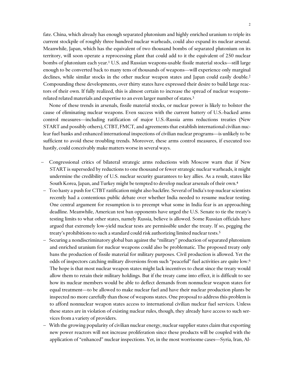fate. China, which already has enough separated plutonium and highly enriched uranium to triple its current stockpile of roughly three hundred nuclear warheads, could also expand its nuclear arsenal. Meanwhile, Japan, which has the equivalent of two thousand bombs of separated plutonium on its territory, will soon operate a reprocessing plant that could add to it the equivalent of 250 nuclear bombs of plutonium each year.1 U.S. and Russian weapons-usable fissile material stocks—still large enough to be converted back to many tens of thousands of weapons—will experience only marginal declines, while similar stocks in the other nuclear weapon states and Japan could easily double.<sup>2</sup> Compounding these developments, over thirty states have expressed their desire to build large reactors of their own. If fully realized, this is almost certain to increase the spread of nuclear weapons– related related materials and expertise to an even larger number of states.<sup>3</sup>

None of these trends in arsenals, fissile material stocks, or nuclear power is likely to bolster the cause of eliminating nuclear weapons. Even success with the current battery of U.S.-backed arms control measures—including ratification of major U.S.-Russia arms reductions treaties (New START and possibly others), CTBT, FMCT, and agreements that establish international civilian nuclear fuel banks and enhanced international inspections of civilian nuclear programs—is unlikely to be sufficient to avoid these troubling trends. Moreover, these arms control measures, if executed too hastily, could conceivably make matters worse in several ways.

- Congressional critics of bilateral strategic arms reductions with Moscow warn that if New START is superseded by reductions to one thousand or fewer strategic nuclear warheads, it might undermine the credibility of U.S. nuclear security guarantees to key allies. As a result, states like South Korea, Japan, and Turkey might be tempted to develop nuclear arsenals of their own.4
- Too hasty a push for CTBT ratification might also backfire. Several of India's top nuclear scientists recently had a contentious public debate over whether India needed to resume nuclear testing. One central argument for resumption is to preempt what some in India fear is an approaching deadline. Meanwhile, American test ban opponents have urged the U.S. Senate to tie the treaty's testing limits to what other states, namely Russia, believe is allowed. Some Russian officials have argued that extremely low-yield nuclear tests are permissible under the treaty. If so, pegging the treaty's prohibitions to such a standard could risk authorizing limited nuclear tests.5
- Securing a nondiscriminatory global ban against the "military" production of separated plutonium and enriched uranium for nuclear weapons could also be problematic. The proposed treaty only bans the production of fissile material for military purposes. Civil production is allowed. Yet the odds of inspectors catching military diversions from such "peaceful" fuel activities are quite low.6 The hope is that most nuclear weapon states might lack incentives to cheat since the treaty would allow them to retain their military holdings. But if the treaty came into effect, it is difficult to see how its nuclear members would be able to deflect demands from nonnuclear weapon states for equal treatment—to be allowed to make nuclear fuel and have their nuclear production plants be inspected no more carefully than those of weapons states. One proposal to address this problem is to afford nonnuclear weapon states access to international civilian nuclear fuel services. Unless these states are in violation of existing nuclear rules, though, they already have access to such services from a variety of providers.
- With the growing popularity of civilian nuclear energy, nuclear supplier states claim that exporting new power reactors will not increase proliferation since these products will be coupled with the application of "enhanced" nuclear inspections. Yet, in the most worrisome cases—Syria, Iran, Al-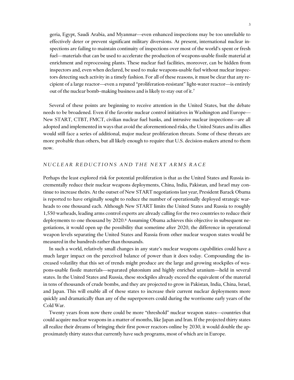geria, Egypt, Saudi Arabia, and Myanmar—even enhanced inspections may be too unreliable to effectively deter or prevent significant military diversions. At present, international nuclear inspections are failing to maintain continuity of inspections over most of the world's spent or fresh fuel—materials that can be used to accelerate the production of weapons-usable fissile material at enrichment and reprocessing plants. These nuclear fuel facilities, moreover, can be hidden from inspectors and, even when declared, be used to make weapons-usable fuel without nuclear inspectors detecting such activity in a timely fashion. For all of these reasons, it must be clear that any recipient of a large reactor—even a reputed "proliferation-resistant" light-water reactor—is entirely out of the nuclear bomb–making business and is likely to stay out of it.7

Several of these points are beginning to receive attention in the United States, but the debate needs to be broadened. Even if the favorite nuclear control initiatives in Washington and Europe— New START, CTBT, FMCT, civilian nuclear fuel banks, and intrusive nuclear inspections—are all adopted and implemented in ways that avoid the aforementioned risks, the United States and its allies would still face a series of additional, major nuclear proliferation threats. Some of these threats are more probable than others, but all likely enough to require that U.S. decision-makers attend to them now.

#### *NUCLEAR REDUCTIONS AND THE NEXT ARMS RACE*

Perhaps the least explored risk for potential proliferation is that as the United States and Russia incrementally reduce their nuclear weapons deployments, China, India, Pakistan, and Israel may continue to increase theirs. At the outset of New START negotiations last year, President Barack Obama is reported to have originally sought to reduce the number of operationally deployed strategic warheads to one thousand each. Although New START limits the United States and Russia to roughly 1,550 warheads, leading arms control experts are already calling for the two countries to reduce their deployments to one thousand by 2020.<sup>8</sup> Assuming Obama achieves this objective in subsequent negotiations, it would open up the possibility that sometime after 2020, the difference in operational weapon levels separating the United States and Russia from other nuclear weapon states would be measured in the hundreds rather than thousands.

In such a world, relatively small changes in any state's nuclear weapons capabilities could have a much larger impact on the perceived balance of power than it does today. Compounding the increased volatility that this set of trends might produce are the large and growing stockpiles of weapons-usable fissile materials—separated plutonium and highly enriched uranium—held in several states. In the United States and Russia, these stockpiles already exceed the equivalent of the material in tens of thousands of crude bombs, and they are projected to grow in Pakistan, India, China, Israel, and Japan. This will enable all of these states to increase their current nuclear deployments more quickly and dramatically than any of the superpowers could during the worrisome early years of the Cold War.

Twenty years from now there could be more "threshold" nuclear weapon states—countries that could acquire nuclear weapons in a matter of months, like Japan and Iran. If the projected thirty states all realize their dreams of bringing their first power reactors online by 2030, it would double the approximately thirty states that currently have such programs, most of which are in Europe.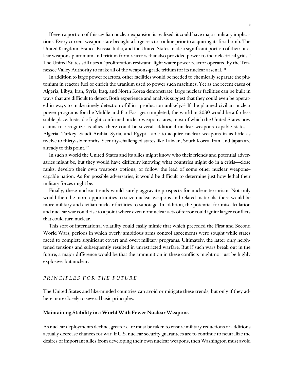If even a portion of this civilian nuclear expansion is realized, it could have major military implications. Every current weapon state brought a large reactor online prior to acquiring its first bomb. The United Kingdom, France, Russia, India, and the United States made a significant portion of their nuclear weapons plutonium and tritium from reactors that also provided power to their electrical grids.9 The United States still uses a "proliferation resistant" light water power reactor operated by the Tennessee Valley Authority to make all of the weapons-grade tritium for its nuclear arsenal.10

In addition to large power reactors, other facilities would be needed to chemically separate the plutonium in reactor fuel or enrich the uranium used to power such machines. Yet as the recent cases of Algeria, Libya, Iran, Syria, Iraq, and North Korea demonstrate, large nuclear facilities can be built in ways that are difficult to detect. Both experience and analysis suggest that they could even be operated in ways to make timely detection of illicit production unlikely.11 If the planned civilian nuclear power programs for the Middle and Far East get completed, the world in 2030 would be a far less stable place. Instead of eight confirmed nuclear weapon states, most of which the United States now claims to recognize as allies, there could be several additional nuclear weapons–capable states— Algeria, Turkey, Saudi Arabia, Syria, and Egypt—able to acquire nuclear weapons in as little as twelve to thirty-six months. Security-challenged states like Taiwan, South Korea, Iran, and Japan are already to this point.12

In such a world the United States and its allies might know who their friends and potential adversaries might be, but they would have difficulty knowing what countries might do in a crisis—close ranks, develop their own weapons options, or follow the lead of some other nuclear weapons– capable nation. As for possible adversaries, it would be difficult to determine just how lethal their military forces might be.

Finally, these nuclear trends would surely aggravate prospects for nuclear terrorism. Not only would there be more opportunities to seize nuclear weapons and related materials, there would be more military and civilian nuclear facilities to sabotage. In addition, the potential for miscalculation and nuclear war could rise to a point where even nonnuclear acts of terror could ignite larger conflicts that could turn nuclear.

This sort of international volatility could easily mimic that which preceded the First and Second World Wars, periods in which overly ambitious arms control agreements were sought while states raced to complete significant covert and overt military programs. Ultimately, the latter only heightened tensions and subsequently resulted in unrestricted warfare. But if such wars break out in the future, a major difference would be that the ammunition in these conflicts might not just be highly explosive, but nuclear.

#### *PRINCIPLES FOR THE FUTURE*

The United States and like-minded countries can avoid or mitigate these trends, but only if they adhere more closely to several basic principles.

#### **Maintaining Stability in a World With Fewer Nuclear Weapons**

As nuclear deployments decline, greater care must be taken to ensure military reductions or additions actually decrease chances for war. If U.S. nuclear security guarantees are to continue to neutralize the desires of important allies from developing their own nuclear weapons, then Washington must avoid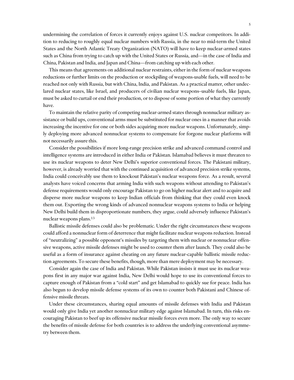undermining the correlation of forces it currently enjoys against U.S. nuclear competitors. In addition to reducing to roughly equal nuclear numbers with Russia, in the near to mid-term the United States and the North Atlantic Treaty Organization (NATO) will have to keep nuclear-armed states such as China from trying to catch up with the United States or Russia, and—in the case of India and China, Pakistan and India, and Japan and China—from catching up with each other.

This means that agreements on additional nuclear restraints, either in the form of nuclear weapons reductions or further limits on the production or stockpiling of weapons-usable fuels, will need to be reached not only with Russia, but with China, India, and Pakistan. As a practical matter, other undeclared nuclear states, like Israel, and producers of civilian nuclear weapons–usable fuels, like Japan, must be asked to curtail or end their production, or to dispose of some portion of what they currently have.

To maintain the relative parity of competing nuclear-armed states through nonnuclear military assistance or build ups, conventional arms must be substituted for nuclear ones in a manner that avoids increasing the incentive for one or both sides acquiring more nuclear weapons. Unfortunately, simply deploying more advanced nonnuclear systems to compensate for forgone nuclear platforms will not necessarily assure this.

Consider the possibilities if more long-range precision strike and advanced command control and intelligence systems are introduced in either India or Pakistan. Islamabad believes it must threaten to use its nuclear weapons to deter New Delhi's superior conventional forces. The Pakistani military, however, is already worried that with the continued acquisition of advanced precision strike systems, India could conceivably use them to knockout Pakistan's nuclear weapons force. As a result, several analysts have voiced concerns that arming India with such weapons without attending to Pakistan's defense requirements would only encourage Pakistan to go on higher nuclear alert and to acquire and disperse more nuclear weapons to keep Indian officials from thinking that they could even knock them out. Exporting the wrong kinds of advanced nonnuclear weapons systems to India or helping New Delhi build them in disproportionate numbers, they argue, could adversely influence Pakistan's nuclear weapons plans.13

Ballistic missile defenses could also be problematic. Under the right circumstances these weapons could afford a nonnuclear form of deterrence that might facilitate nuclear weapons reduction. Instead of "neutralizing" a possible opponent's missiles by targeting them with nuclear or nonnuclear offensive weapons, active missile defenses might be used to counter them after launch. They could also be useful as a form of insurance against cheating on any future nuclear-capable ballistic missile reduction agreements. To secure these benefits, though, more than mere deployment may be necessary.

Consider again the case of India and Pakistan. While Pakistan insists it must use its nuclear weapons first in any major war against India, New Delhi would hope to use its conventional forces to capture enough of Pakistan from a "cold start" and get Islamabad to quickly sue for peace. India has also begun to develop missile defense systems of its own to counter both Pakistani and Chinese offensive missile threats.

Under these circumstances, sharing equal amounts of missile defenses with India and Pakistan would only give India yet another nonnuclear military edge against Islamabad. In turn, this risks encouraging Pakistan to beef up its offensive nuclear missile forces even more. The only way to secure the benefits of missile defense for both countries is to address the underlying conventional asymmetry between them.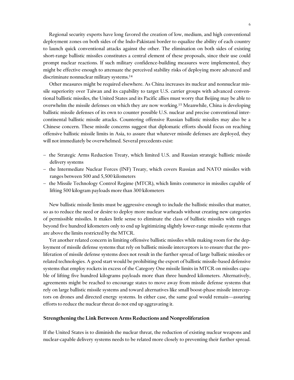Regional security experts have long favored the creation of low, medium, and high conventional deployment zones on both sides of the Indo-Pakistani border to equalize the ability of each country to launch quick conventional attacks against the other. The elimination on both sides of existing short-range ballistic missiles constitutes a central element of these proposals, since their use could prompt nuclear reactions. If such military confidence-building measures were implemented, they might be effective enough to attenuate the perceived stability risks of deploying more advanced and discriminate nonnuclear military systems.14

Other measures might be required elsewhere. As China increases its nuclear and nonnuclear missile superiority over Taiwan and its capability to target U.S. carrier groups with advanced conventional ballistic missiles, the United States and its Pacific allies must worry that Beijing may be able to overwhelm the missile defenses on which they are now working.15 Meanwhile, China is developing ballistic missile defenses of its own to counter possible U.S. nuclear and precise conventional intercontinental ballistic missile attacks. Countering offensive Russian ballistic missiles may also be a Chinese concern. These missile concerns suggest that diplomatic efforts should focus on reaching offensive ballistic missile limits in Asia, to assure that whatever missile defenses are deployed, they will not immediately be overwhelmed. Several precedents exist:

- the Strategic Arms Reduction Treaty, which limited U.S. and Russian strategic ballistic missile delivery systems
- the Intermediate Nuclear Forces (INF) Treaty, which covers Russian and NATO missiles with ranges between 500 and 5,500 kilometers
- the Missile Technology Control Regime (MTCR), which limits commerce in missiles capable of lifting 500 kilogram payloads more than 300 kilometers

New ballistic missile limits must be aggressive enough to include the ballistic missiles that matter, so as to reduce the need or desire to deploy more nuclear warheads without creating new categories of permissible missiles. It makes little sense to eliminate the class of ballistic missiles with ranges beyond five hundred kilometers only to end up legitimizing slightly lower-range missile systems that are above the limits restricted by the MTCR.

Yet another related concern in limiting offensive ballistic missiles while making room for the deployment of missile defense systems that rely on ballistic missile interceptors is to ensure that the proliferation of missile defense systems does not result in the further spread of large ballistic missiles or related technologies. A good start would be prohibiting the export of ballistic missile-based defensive systems that employ rockets in excess of the Category One missile limits in MTCR on missiles capable of lifting five hundred kilograms payloads more than three hundred kilometers. Alternatively, agreements might be reached to encourage states to move away from missile defense systems that rely on large ballistic missile systems and toward alternatives like small boost-phase missile interceptors on drones and directed energy systems. In either case, the same goal would remain—assuring efforts to reduce the nuclear threat do not end up aggravating it.

#### **Strengthening the Link Between Arms Reductions and Nonproliferation**

If the United States is to diminish the nuclear threat, the reduction of existing nuclear weapons and nuclear-capable delivery systems needs to be related more closely to preventing their further spread.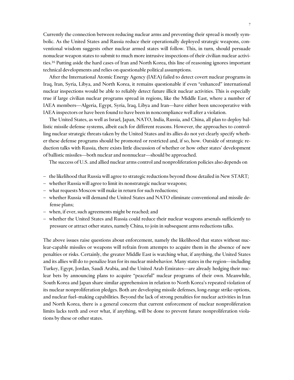Currently the connection between reducing nuclear arms and preventing their spread is mostly symbolic. As the United States and Russia reduce their operationally deployed strategic weapons, conventional wisdom suggests other nuclear armed states will follow. This, in turn, should persuade nonuclear weapon states to submit to much more intrusive inspections of their civilian nuclear activities.16 Putting aside the hard cases of Iran and North Korea, this line of reasoning ignores important technical developments and relies on questionable political assumptions.

After the International Atomic Energy Agency (IAEA) failed to detect covert nuclear programs in Iraq, Iran, Syria, Libya, and North Korea, it remains questionable if even "enhanced" international nuclear inspections would be able to reliably detect future illicit nuclear activities. This is especially true if large civilian nuclear programs spread in regions, like the Middle East, where a number of IAEA members—Algeria, Egypt, Syria, Iraq, Libya and Iran—have either been uncooperative with IAEA inspectors or have been found to have been in noncompliance well after a violation.

The United States, as well as Israel, Japan, NATO, India, Russia, and China, all plan to deploy ballistic missile defense systems, albeit each for different reasons. However, the approaches to controlling nuclear strategic threats taken by the United States and its allies do not yet clearly specify whether these defense programs should be promoted or restricted and, if so, how. Outside of strategic reduction talks with Russia, there exists little discussion of whether or how other states' development of ballistic missiles—both nuclear and nonnuclear—should be approached.

The success of U.S. and allied nuclear arms control and nonproliferation policies also depends on

- the likelihood that Russia will agree to strategic reductions beyond those detailed in New START;
- whether Russia will agree to limit its nonstrategic nuclear weapons;
- what requests Moscow will make in return for such reductions;
- whether Russia will demand the United States and NATO eliminate conventional and missile defense plans;
- when, if ever, such agreements might be reached; and
- whether the United States and Russia could reduce their nuclear weapons arsenals sufficiently to pressure or attract other states, namely China, to join in subsequent arms reductions talks.

The above issues raise questions about enforcement, namely the likelihood that states without nuclear-capable missiles or weapons will refrain from attempts to acquire them in the absence of new penalties or risks. Certainly, the greater Middle East is watching what, if anything, the United States and its allies will do to penalize Iran for its nuclear misbehavior. Many states in the region—including Turkey, Egypt, Jordan, Saudi Arabia, and the United Arab Emirates—are already hedging their nuclear bets by announcing plans to acquire "peaceful" nuclear programs of their own. Meanwhile, South Korea and Japan share similar apprehension in relation to North Korea's repeated violation of its nuclear nonproliferation pledges. Both are developing missile defenses, long-range strike options, and nuclear fuel–making capabilities. Beyond the lack of strong penalties for nuclear activities in Iran and North Korea, there is a general concern that current enforcement of nuclear nonproliferation limits lacks teeth and over what, if anything, will be done to prevent future nonproliferation violations by these or other states.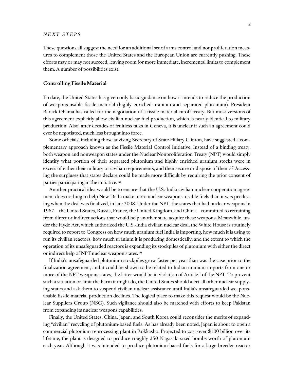#### *NEXT STEPS*

These questions all suggest the need for an additional set of arms control and nonproliferation measures to complement those the United States and the European Union are currently pushing. These efforts may or may not succeed, leaving room for more immediate, incremental limits to complement them. A number of possibilities exist.

#### **Controlling Fissile Material**

To date, the United States has given only basic guidance on how it intends to reduce the production of weapons-usable fissile material (highly enriched uranium and separated plutonium). President Barack Obama has called for the negotiation of a fissile material cutoff treaty. But most versions of this agreement explicitly allow civilian nuclear fuel production, which is nearly identical to military production. Also, after decades of fruitless talks in Geneva, it is unclear if such an agreement could ever be negotiated, much less brought into force.

Some officials, including those advising Secretary of State Hillary Clinton, have suggested a complementary approach known as the Fissile Material Control Initiative. Instead of a binding treaty, both weapon and nonweapon states under the Nuclear Nonproliferation Treaty (NPT) would simply identify what portion of their separated plutonium and highly enriched uranium stocks were in excess of either their military or civilian requirements, and then secure or dispose of them.17 Accessing the surpluses that states declare could be made more difficult by requiring the prior consent of parties participating in the initiative.18

Another practical idea would be to ensure that the U.S.-India civilian nuclear cooperation agreement does nothing to help New Delhi make more nuclear weapons–usable fuels than it was producing when the deal was finalized, in late 2008. Under the NPT, the states that had nuclear weapons in 1967—the United States, Russia, France, the United Kingdom, and China—committed to refraining from direct or indirect actions that would help another state acquire these weapons. Meanwhile, under the Hyde Act, which authorized the U.S.-India civilian nuclear deal, the White House is routinely required to report to Congress on how much uranium fuel India is importing, how much it is using to run its civilian reactors, how much uranium it is producing domestically, and the extent to which the operation of its unsafeguarded reactors is expanding its stockpiles of plutonium with either the direct or indirect help of NPT nuclear weapon states.19

If India's unsafeguarded plutonium stockpiles grow faster per year than was the case prior to the finalization agreement, and it could be shown to be related to Indian uranium imports from one or more of the NPT weapons states, the latter would be in violation of Article I of the NPT. To prevent such a situation or limit the harm it might do, the United States should alert all other nuclear supplying states and ask them to suspend civilian nuclear assistance until India's unsafeguarded weaponsusable fissile material production declines. The logical place to make this request would be the Nuclear Suppliers Group (NSG). Such vigilance should also be matched with efforts to keep Pakistan from expanding its nuclear weapons capabilities.

Finally, the United States, China, Japan, and South Korea could reconsider the merits of expanding "civilian" recycling of plutonium-based fuels. As has already been noted, Japan is about to open a commercial plutonium reprocessing plant in Rokkasho. Projected to cost over \$100 billion over its lifetime, the plant is designed to produce roughly 250 Nagasaki-sized bombs worth of plutonium each year. Although it was intended to produce plutonium-based fuels for a large breeder reactor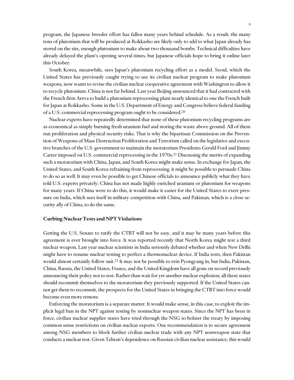program, the Japanese breeder effort has fallen many years behind schedule. As a result, the many tons of plutonium that will be produced at Rokkasho are likely only to add to what Japan already has stored on the site, enough plutonium to make about two thousand bombs. Technical difficulties have already delayed the plant's opening several times, but Japanese officials hope to bring it online later this October.

South Korea, meanwhile, sees Japan's plutonium recycling effort as a model. Seoul, which the United States has previously caught trying to use its civilian nuclear program to make plutonium weapons, now wants to revise the civilian nuclear cooperative agreement with Washington to allow it to recycle plutonium. China is not far behind. Last year Beijing announced that it had contracted with the French firm Areva to build a plutonium reprocessing plant nearly identical to one the French built for Japan at Rokkasho. Some in the U.S. Department of Energy and Congress believe federal funding of a U.S. commercial reprocessing program ought to be considered.20

Nuclear experts have repeatedly determined that none of these plutonium recycling programs are as economical as simply burning fresh uranium fuel and storing the waste above ground. All of them run proliferation and physical security risks. That is why the bipartisan Commission on the Prevention of Weapons of Mass Destruction Proliferation and Terrorism called on the legislative and executive branches of the U.S. government to maintain the moratorium Presidents Gerald Ford and Jimmy Carter imposed on U.S. commercial reprocessing in the 1970s.21 Discussing the merits of expanding such a moratorium with China, Japan, and South Korea might make sense. In exchange for Japan, the United States, and South Korea refraining from reprocessing, it might be possible to persuade China to do so as well. It may even be possible to get Chinese officials to announce publicly what they have told U.S. experts privately: China has not made highly enriched uranium or plutonium for weapons for many years. If China were to do this, it would make it easier for the United States to exert pressure on India, which sees itself in military competition with China, and Pakistan, which is a close security ally of China, to do the same.

#### **Curbing Nuclear Tests and NPT Violations**

Getting the U.S. Senate to ratify the CTBT will not be easy, and it may be many years before this agreement is ever brought into force. It was reported recently that North Korea might test a third nuclear weapon. Last year nuclear scientists in India seriously debated whether and when New Delhi might have to resume nuclear testing to perfect a thermonuclear device. If India tests, then Pakistan would almost certainly follow suit.22 It may not be possible to rein Pyongyang in, but India, Pakistan, China, Russia, the United States, France, and the United Kingdom have all gone on record previously announcing their policy not to test. Rather than wait for yet another nuclear explosion, all these states should recommit themselves to the moratorium they previously supported. If the United States cannot get them to recommit, the prospects for the United States in bringing the CTBT into force would become even more remote.

Enforcing the moratorium is a separate matter. It would make sense, in this case, to exploit the implicit legal ban in the NPT against testing by nonnuclear weapon states. Since the NPT has been in force, civilian nuclear supplier states have tried through the NSG to bolster the treaty by imposing common sense restrictions on civilian nuclear exports. One recommendation is to secure agreement among NSG members to block further civilian nuclear trade with any NPT nonweapon state that conducts a nuclear test. Given Tehran's dependence on Russian civilian nuclear assistance, this would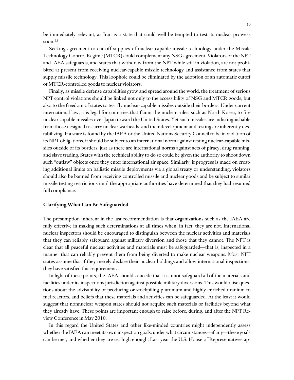be immediately relevant, as Iran is a state that could well be tempted to test its nuclear prowess soon.23

Seeking agreement to cut off supplies of nuclear capable missile technology under the Missile Technology Control Regime (MTCR) could complement any NSG agreement. Violators of the NPT and IAEA safeguards, and states that withdraw from the NPT while still in violation, are not prohibited at present from receiving nuclear-capable missile technology and assistance from states that supply missile technology. This loophole could be eliminated by the adoption of an automatic cutoff of MTCR-controlled goods to nuclear violators.

Finally, as missile defense capabilities grow and spread around the world, the treatment of serious NPT control violations should be linked not only to the accessibility of NSG and MTCR goods, but also to the freedom of states to test fly nuclear-capable missiles outside their borders. Under current international law, it is legal for countries that flaunt the nuclear rules, such as North Korea, to fire nuclear capable missiles over Japan toward the United States. Yet such missiles are indistinguishable from those designed to carry nuclear warheads, and their development and testing are inherently destabilizing. If a state is found by the IAEA or the United Nations Security Council to be in violation of its NPT obligations, it should be subject to an international norm against testing nuclear-capable missiles outside of its borders, just as there are international norms against acts of piracy, drug running, and slave trading. States with the technical ability to do so could be given the authority to shoot down such "outlaw" objects once they enter international air space. Similarly, if progress is made on creating additional limits on ballistic missile deployments via a global treaty or understanding, violators should also be banned from receiving controlled missile and nuclear goods and be subject to similar missile testing restrictions until the appropriate authorities have determined that they had resumed full compliance.

#### **Clarifying What Can Be Safeguarded**

The presumption inherent in the last recommendation is that organizations such as the IAEA are fully effective in making such determinations at all times when, in fact, they are not. International nuclear inspectors should be encouraged to distinguish between the nuclear activities and materials that they can reliably safeguard against military diversion and those that they cannot. The NPT is clear that all peaceful nuclear activities and materials must be safeguarded—that is, inspected in a manner that can reliably prevent them from being diverted to make nuclear weapons. Most NPT states assume that if they merely declare their nuclear holdings and allow international inspections, they have satisfied this requirement.

In light of these points, the IAEA should concede that it cannot safeguard all of the materials and facilities under its inspections jurisdiction against possible military diversions. This would raise questions about the advisability of producing or stockpiling plutonium and highly enriched uranium to fuel reactors, and beliefs that these materials and activities can be safeguarded. At the least it would suggest that nonnuclear weapon states should not acquire such materials or facilities beyond what they already have. These points are important enough to raise before, during, and after the NPT Review Conference in May 2010.

In this regard the United States and other like-minded countries might independently assess whether the IAEA can meet its own inspection goals, under what circumstances—if any—these goals can be met, and whether they are set high enough. Last year the U.S. House of Representatives ap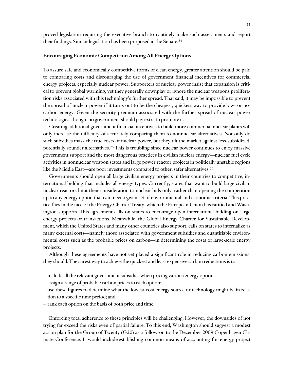proved legislation requiring the executive branch to routinely make such assessments and report their findings. Similar legislation has been proposed in the Senate.24

#### **Encouraging Economic Competition Among All Energy Options**

To assure safe and economically competitive forms of clean energy, greater attention should be paid to comparing costs and discouraging the use of government financial incentives for commercial energy projects, especially nuclear power**.** Supporters of nuclear power insist that expansion is critical to prevent global warming, yet they generally downplay or ignore the nuclear weapons proliferation risks associated with this technology's further spread. That said, it may be impossible to prevent the spread of nuclear power if it turns out to be the cheapest, quickest way to provide low- or nocarbon energy. Given the security premium associated with the further spread of nuclear power technologies, though, no government should pay extra to promote it.

Creating additional government financial incentives to build more commercial nuclear plants will only increase the difficulty of accurately comparing them to nonnuclear alternatives. Not only do such subsidies mask the true costs of nuclear power, but they tilt the market against less-subsidized, potentially sounder alternatives.25 This is troubling since nuclear power continues to enjoy massive government support and the most dangerous practices in civilian nuclear energy—nuclear fuel cycle activities in nonnuclear weapon states and large power reactor projects in politically unstable regions like the Middle East—are poor investments compared to other, safer alternatives.<sup>26</sup>

Governments should open all large civilian energy projects in their countries to competitive, international bidding that includes all energy types. Currently, states that want to build large civilian nuclear reactors limit their consideration to nuclear bids only, rather than opening the competition up to any energy option that can meet a given set of environmental and economic criteria. This practice flies in the face of the Energy Charter Treaty, which the European Union has ratified and Washington supports. This agreement calls on states to encourage open international bidding on large energy projects or transactions. Meanwhile, the Global Energy Charter for Sustainable Development, which the United States and many other countries also support, calls on states to internalize as many external costs—namely those associated with government subsidies and quantifiable environmental costs such as the probable prices on carbon—in determining the costs of large-scale energy projects.

Although these agreements have not yet played a significant role in reducing carbon emissions, they should. The surest way to achieve the quickest and least expensive carbon reductions is to

- $\overline{\phantom{a}}$  include all the relevant government subsidies when pricing various energy options;
- assign a range of probable carbon prices to each option;
- use these figures to determine what the lowest-cost energy source or technology might be in relation to a specific time period; and
- rank each option on the basis of both price and time.

Enforcing total adherence to these principles will be challenging. However, the downsides of not trying far exceed the risks even of partial failure. To this end, Washington should suggest a modest action plan for the Group of Twenty (G20) as a follow-on to the December 2009 Copenhagen Climate Conference. It would include establishing common means of accounting for energy project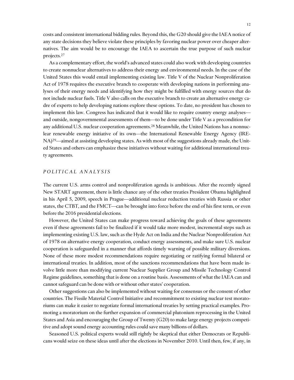costs and consistent international bidding rules. Beyond this, the G20 should give the IAEA notice of any state decisions they believe violate these principles by favoring nuclear power over cheaper alternatives. The aim would be to encourage the IAEA to ascertain the true purpose of such nuclear projects.27

As a complementary effort, the world's advanced states could also work with developing countries to create nonnuclear alternatives to address their energy and environmental needs. In the case of the United States this would entail implementing existing law. Title V of the Nuclear Nonproliferation Act of 1978 requires the executive branch to cooperate with developing nations in performing analyses of their energy needs and identifying how they might be fulfilled with energy sources that do not include nuclear fuels. Title V also calls on the executive branch to create an alternative energy cadre of experts to help developing nations explore these options. To date, no president has chosen to implement this law. Congress has indicated that it would like to require country energy analyses and outside, nongovernmental assessments of them—to be done under Title V as a precondition for any additional U.S. nuclear cooperation agreements.<sup>28</sup> Meanwhile, the United Nations has a nonnuclear renewable energy initiative of its own—the International Renewable Energy Agency (IRE- $NA$ )<sup>29</sup>—aimed at assisting developing states. As with most of the suggestions already made, the United States and others can emphasize these initiatives without waiting for additional international treaty agreements.

#### *POLITICAL ANALYSIS*

The current U.S. arms control and nonproliferation agenda is ambitious. After the recently signed New START agreement, there is little chance any of the other treaties President Obama highlighted in his April 5, 2009, speech in Prague—additional nuclear reduction treaties with Russia or other states, the CTBT, and the FMCT—can be brought into force before the end of his first term, or even before the 2016 presidential elections.

However, the United States can make progress toward achieving the goals of these agreements even if these agreements fail to be finalized if it would take more modest, incremental steps such as implementing existing U.S. law, such as the Hyde Act on India and the Nuclear Nonproliferation Act of 1978 on alternative energy cooperation, conduct energy assessments, and make sure U.S. nuclear cooperation is safeguarded in a manner that affords timely warning of possible military diversions. None of these more modest recommendations require negotiating or ratifying formal bilateral or international treaties. In addition, most of the sanctions recommendations that have been made involve little more than modifying current Nuclear Supplier Group and Missile Technology Control Regime guidelines, something that is done on a routine basis. Assessments of what the IAEA can and cannot safeguard can be done with or without other states' cooperation.

Other suggestions can also be implemented without waiting for consensus or the consent of other countries. The Fissile Material Control Initiative and recommitment to existing nuclear test moratoriums can make it easier to negotiate formal international treaties by setting practical examples. Promoting a moratorium on the further expansion of commercial plutonium reprocessing in the United States and Asia and encouraging the Group of Twenty (G20) to make large energy projects competitive and adopt sound energy accounting rules could save many billions of dollars.

Seasoned U.S. political experts would still rightly be skeptical that either Democrats or Republicans would seize on these ideas until after the elections in November 2010. Until then, few, if any, in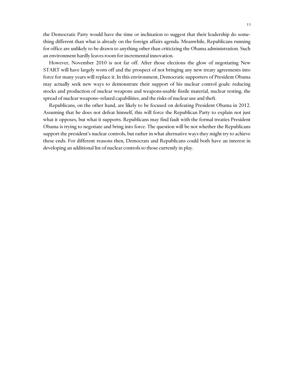the Democratic Party would have the time or inclination to suggest that their leadership do something different than what is already on the foreign affairs agenda. Meanwhile, Republicans running for office are unlikely to be drawn to anything other than criticizing the Obama administration. Such an environment hardly leaves room for incremental innovation.

However, November 2010 is not far off. After those elections the glow of negotiating New START will have largely worn off and the prospect of not bringing any new treaty agreements into force for many years will replace it. In this environment, Democratic supporters of President Obama may actually seek new ways to demonstrate their support of his nuclear control goals: reducing stocks and production of nuclear weapons and weapons-usable fissile material, nuclear testing, the spread of nuclear weapons–related capabilities, and the risks of nuclear use and theft.

Republicans, on the other hand, are likely to be focused on defeating President Obama in 2012. Assuming that he does not defeat himself, this will force the Republican Party to explain not just what it opposes, but what it supports. Republicans may find fault with the formal treaties President Obama is trying to negotiate and bring into force. The question will be not whether the Republicans support the president's nuclear controls, but rather in what alternative ways they might try to achieve these ends. For different reasons then, Democrats and Republicans could both have an interest in developing an additional list of nuclear controls to those currently in play.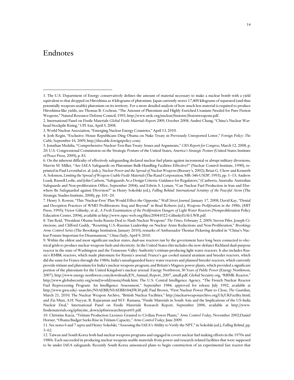### Endnotes

 $\overline{a}$ 

<sup>1.</sup> The U.S. Department of Energy conservatively defines the amount of material necessary to make a nuclear bomb with a yield equivalent to that dropped on Hiroshima as 4 kilograms of plutonium. Japan currently stores 17,400 kilograms of separated (and thus potentially weapons-usable) plutonium on its territory. For a more detailed analysis of how much less material is required to produce Hiroshima-like yields, see Thomas B. Cochran, "The Amount of Plutonium and Highly Enriched Uranium Needed for Pure Fission Weapons," Natural Resource Defense Council, 1995, http://www.nrdc.org/nuclear/fissionw/fissionweapons.pdf.

<sup>2.</sup> International Panel on Fissile Materials *Global Fissile Materials Report 2009*, October 2008; Andrei Chang, "China's Nuclear Warhead Stockpile Rising," *UPI Asia*, April 5, 2008.

<sup>3.</sup> World Nuclear Association, "Emerging Nuclear Energy Countries," April 13, 2010.

<sup>4.</sup> Josh Rogin, "Exclusive: House Republicans Ding Obama on Nuke Treaty in Previously Unreported Letter," *Foreign Policy: The Cable,* September 16, 2009, http://thecable.foreignpolicy.com/.

<sup>5.</sup> Jonathan Medalia, "Comprehensive Nuclear-Test-Ban Treaty: Issues and Arguments," *CRS Report for Congress,* March 12, 2008, p. 20; U.S. Congressional Commission on the Strategic Posture of the United States, *America's Strategic Posture* (United States Institute of Peace Press, 2009), p. 83.

<sup>6.</sup> On the inherent difficulty of effectively safeguarding declared nuclear fuel plants against incremental or abrupt military diversions, Marvin M. Miller, "Are IAEA Safeguards on Plutonium Bulk-Handling Facilities Effective?" (Nuclear Control Institute, 1990), reprinted in Paul Leventhal et. al. (eds.), *Nuclear Power and the Spread of Nuclear Weapons* (Brassey's, 2002); Brian G. Chow and Kenneth A. Solomon, *Limiting the Spread of Weapon-Usable Fissile Materials* (The Rand Corporation, MR-346-USDP, 1993), pp. 1-15; Andrew Leask, Russell Leslie, and John Carlson, "Safeguards As a Design Criteria: Guidance for Regulators," (Canberra, Australia: Australian Safeguards and Non-proliferation Office, September 2004); and Edwin S. Lyman, "Can Nuclear Fuel Production in Iran and Elsewhere Be Safeguarded against Diversion?" in Henry Sokolski (ed.), *Falling Behind: International Scrutiny of the Peaceful Atom* (The Strategic Studies Institute, 2008), pp. 101-20.

<sup>7.</sup> Henry S. Rowen, "This 'Nuclear-Free' Plan Would Effect the Opposite," *Wall Street Journal*, January 17, 2008; David Kay, "Denial and Deception Practices of WMD Proliferators: Iraq and Beyond" in Brad Roberts (ed.), *Weapons Proliferation in the 1990s*, (MIT Press, 1995); Victor Gilinsky, et al., *A Fresh Examination of the Proliferation Dangers of Light Water Reactors* (Nonproliferation Policy Education Center, 2004), available at http://www.npec-web.org/files/20041022-GilinskyEtAl-LWR.pdf.

<sup>8.</sup> Tim Reid, "President Obama Seeks Russia Deal to Slash Nuclear Weapons" *The Times*, February 2, 2009; Steven Pifer, Joseph Cirincione, and Clifford Gaddy, "Resetting U.S.-Russian Leadership on Nuclear Arms Reductions and Non-Proliferation," *Brookings Arms Control Series* (The Brookings Institution, January 2010); remarks of Ambassador Thomas Pickering detailed in "China's Nuclear Posture Important for Disarmament," *China Daily*, April 9, 2010.

<sup>9.</sup> Within the oldest and most significant nuclear states, dual-use reactors run by the government have long been connected to electrical grids to produce nuclear weapons fuels and electricity. In the United States this includes the now-defunct Richland dual-purpose reactor in the state of Washington and the Tennessee Valley Authority's tritium-producing light water reactors. It also includes Russia's RMBK reactors, which made plutonium for Russia's arsenal; France's gas cooled natural uranium and breeder reactors, which did the same for France through the 1980s; India's unsafeguarded heavy water reactors and planned breeder reactors, which currently provide tritium and plutonium for India's nuclear weapons program; and Britain's Magnox power plants, which provided a significant portion of the plutonium for the United Kingdom's nuclear arsenal. Energy Northwest, *50 Years of Public Power* (Energy Northwest, 2007), http://www.energy-northwest.com/downloads/EN\_Annual\_Report\_2007\_small.pdf; Global Secuirty.org, "RBMK Reactor," http://www.globalsecurity.org/wmd/world/russia/rbmk.htm; The U.S. Central Intelligence Agency, "The French Nuclear Reactor Fuel Reprocessing Program: An Intelligence Assessment," September 1984, approved for release July 1992, available at http://www.gwu.edu/~nsarchiv/NSAEBB/NSAEBB184/FR30.pdf; Paul Brown, "First Nuclear Power Plant to Close, *The Guardian*, March 21, 2010; The Nuclear Weapon Archive, "British Nuclear Facilities," http://nuclearweaponarchive.org/Uk/UKFacility.html; and Zia Mian, A.H. Nayyar, R. Rajaraman and M.V. Ramana, "Fissile Materials in South Asia and the Implications of the US-India Nuclear Deal," International Panel on Fissile Materials Research Report, September 2006, available at http://www. fissilematerials.org/ipfm/site\_down/ipfmresearchreport01.pdf.

<sup>10.</sup> Christine Kucia, "Tritium Production Licenses Granted to Civilian Power Plants," *Arms Control Today,* November 2002;Daniel Horner, "Obama Budget Seeks Rise in Tritium Capacity," *Arms Control Today*, June 2009.

<sup>11.</sup> See notes 6 and 7 *supra* and Henry Sokolski, "Assessing the IAEA's Ability to Verify the NPT," in Sokolski (ed.), *Falling Behind*, pp.  $3 - 62$ .

<sup>12.</sup> Taiwan and South Korea both had nuclear weapons programs and engaged in covert nuclear fuel making efforts in the 1970s and 1980s. Each succeeded in producing nuclear weapons usable materials from power and research-related facilities that were supposed to be under IAEA safeguards. Recently South Korea announced plans to begin construction of an experimental fast reactor that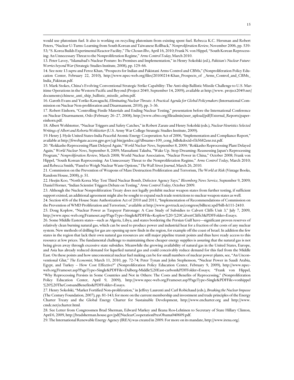would use plutonium fuel. It also is working on recycling plutonium from existing spent fuel. Rebecca K.C. Hersman and Robert Peters, "Nuclear U-Turns: Learning from South Korean and Taiwanese Rollback," *Nonproliferation Review,* November 2006, pp. 539- 53; "S. Korea Builds Experimental Reactor Facility," *The Chosun Ilbo*, April 16, 2010; Frank N. von Hippel, "South Korean Reprocessing: An Unnecessary Threat to the Nonproliferation Regime," *Arms Control Today,* March 2010.

 $\overline{a}$ 

13. Peter Lavoy, "Islamabad's Nuclear Posture: Its Premises and Implementation," in Henry Sokolski (ed.), *Pakistan's Nuclear Future: Worries beyond War* (Strategic Studies Institute, 2008), pp. 129–66.

14. See note 13 *supra* and Feroz Khan, "Prospects for Indian and Pakistani Arms Control and CBMs," (Nonproliferation Policy Education Center, February 22, 2010), http://www.npec-web.org/files/20100214-Khan\_Prospects\_of \_Arms\_Control\_and\_CBMs\_ India\_Pakistan.pdf.

15. Mark Stokes, China's Evolving Conventional Strategic Strike Capability: The Anti-ship Ballistic Missile Challenge to U.S. Maritime Operations in the Western Pacific and Beyond (Project 2049, September 14, 2009), available at http://www. project2049.net/ documents/chinese\_anti\_ship\_ballistic\_missile\_asbm.pdf.

16. Gareth Evans and Yoriko Kawaguchi, *Eliminating Nuclear Threats: A Practical Agenda for Global Policymakers* (International Commission on Nuclear Non-proliferation and Disarmament, 2010), pp. 3–36.

17. Robert Einhorn, "Controlling Fissile Materials and Ending Nuclear Testing," presentation before the International Conference on Nuclear Disarmament, Oslo (February 26–27, 2008), http://www.ctbto.org/fileadmin/user\_upload/pdf/External\_Reports/papereinhorn.pdf.

18. Albert Wohlstetter, "Nuclear Triggers and Safety Catches," in Robert Zarate and Henry Sokolski (eds.), *Nuclear Heuristics Selected Writings of Albert and Roberta Wohlstetter* (U.S. Army War College Strategic Studies Institute, 2009).

19. Henry J. Hyde United States-India Peaceful Atomic Energy Cooperation Act of 2006, "Implementation and Compliance Report," available at http://frwebgate.access.gpo.gov/cgi bin/getdoc.cgi?dbname=109\_cong\_bills&docid=f:h5682enr.txt.pdf.

20. "Rokkasho Reprocessing Plant Delayed Again," *World Nuclear News*, September 8, 2009; "Rokkasho Reprocessing Plant Delayed Again," *World Nuclear News*, September 8, 2009; Massafumi Takuba, "Wake Up. Stop Dreaming: Reassessing Japan's Reprocessing Program," *Nonproliferation Review*, March 2008; World Nuclear Association, "Nuclear Power in China," October 2008; Frank von Hippel, "South Korean Reprocessing: An Unnecessary Threat to the Nonproliferation Regime," *Arms Control Today,* March 2010; and Rebecca Smith, "Panel to Weigh Nuclear Waste Options," *The Wall Street Journal*, March 26, 2010.

21. Commission on the Prevention of Weapons of Mass Destruction Proliferation and Terrorism, *The World at Risk* (Vintage Books, Random House, 2008), p. 51.

22. Heejin Koo, "North Korea May Test Third Nuclear Bomb, Defector Agency Says," *Bloomberg News Service*, September 9, 2009; Daniel Horner, "Indian Scientist Triggers Debate on Testing," *Arms Control Today*, October 2009.

23. Although the Nuclear Nonproliferation Treaty does not legally prohibit nuclear weapon states from further testing, if sufficient support existed, an additional agreement might also be sought to expand such trade restrictions to nuclear weapon states as well.

24. Section 416 of the House State Authorization Act of 2010 and 2011, "Implementation of Recommendations of Commission on the Prevention of WMD Proliferation and Terrorism," available at http://www.govtrack.us/congress/billtext.xpd?bill=h111-2410.

25. Doug Koplow, "Nuclear Power as Taxpayer Patronage: A Case Study of Subsidies to Calvert Cliffs Unit 3," July 7, 2009, http://www.npec-web.org/Frameset.asp?PageType=Single&PDFFile=Koplow%20-%20CalvertCliffs3&PDFFolder=Essays.

26. Some Middle Eastern states—such as Algeria, Libya, and states bordering the Persian Gulf have—significant proven reserves of relatively clean burning natural gas, which can be used to produce power and industrial heat for a fraction of the costs of any nuclear system. New methods of drilling for gas are opening up new finds in the region, for example off the coast of Israel. In addition the few states in the region that lack their own natural gas resources are still major pipeline transit points and thus have ready access to this resource at low prices. The fundamental challenge to maintaining these cheaper energy supplies is assuring that the natural gas is not being given away through excessive state subsidies. Meanwhile the growing availability of natural gas in the United States, Europe, and Asia has already reduced demand for liquefied natural gas and could conceivably reduce demand for this fuel from the Middle East. On these points and how uneconomical nuclear fuel making can be for small numbers of nuclear power plants, see, "An Unconventional Glut," *The Economist,* March 11, 2010, pp. 72-74; Peter Tynan and John Stephenson, "Nuclear Power in Saudi Arabia, Egypt, and Turkey – How Cost Effective?" (Nonproliferation Policy Education Center, February 9, 2009), http://www.npecweb.org/Frameset.asp?PageType=Single&PDFFile=Dalberg-Middle%20East-carbon&PDFFolder=Essays; "Frank von Hippel, "Why Reprocessing Persists in Some Countries and Not in Others: The Costs and Benefits of Reprocessing," (Nonproliferation Policy Education Center, April 9, 2009), http://www.npec-web.org/Frameset.asp?PageType=Single&PDFFile=vonhippel %20%20TheCostsandBenefits&PDFFolder=Essays.

27. Henry Sokolski, "Market Fortified Non-proliferation," in Jeffrey Laurenti and Carl Robichaud (eds.), *Breaking the Nuclear Impasse*  (The Century Foundation, 2007), pp. 81-143; for more on the current membership and investment and trade principles of the Energy Charter Treaty and the Global Energy Charter for Sustainable Development, http://www.encharter.org and http://www. cmdc.net/echarter.html.

28. See Letter from Congressmen Brad Sherman, Edward Markey and Ileana Ros-Lehtinen to Secretary of State Hillary Clinton, April 6, 2009, http://bradsherman.house.gov/pdf/NuclearCooperationPresObama040609.pdf.

29. The International Renewable Energy Agency (IREA) was created in 2009. For more on its mandate, http://www.irena.org/.